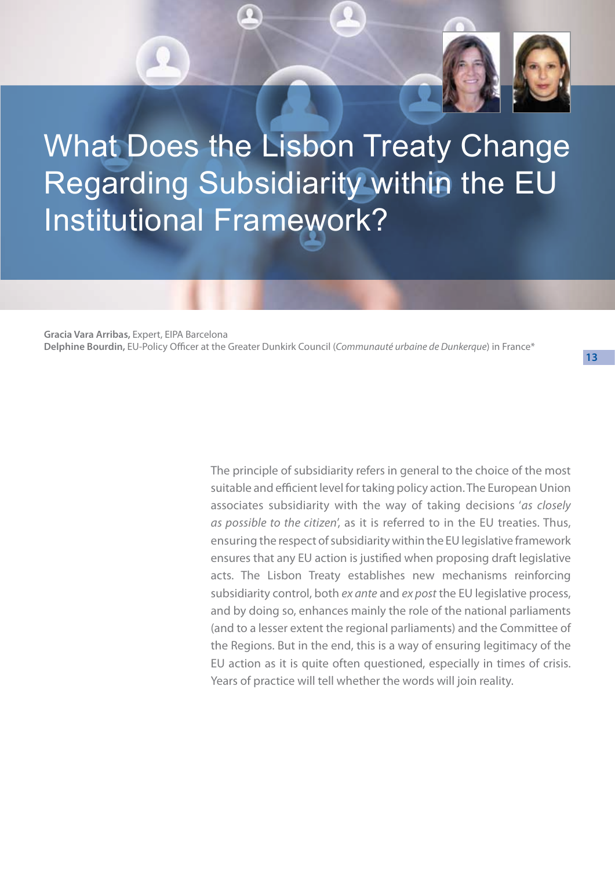

# What Does the Lisbon Treaty Change Regarding Subsidiarity within the EU Institutional Framework?

**Gracia Vara Arribas,** Expert, EIPA Barcelona **Delphine Bourdin,** EU-Policy Officer at the Greater Dunkirk Council (*Communauté urbaine de Dunkerque*) in France\*

> The principle of subsidiarity refers in general to the choice of the most suitable and efficient level for taking policy action. The European Union associates subsidiarity with the way of taking decisions '*as closely as possible to the citizen*', as it is referred to in the EU treaties. Thus, ensuring the respect of subsidiarity within the EU legislative framework ensures that any EU action is justified when proposing draft legislative acts. The Lisbon Treaty establishes new mechanisms reinforcing subsidiarity control, both *ex ante* and *ex post* the EU legislative process, and by doing so, enhances mainly the role of the national parliaments (and to a lesser extent the regional parliaments) and the Committee of the Regions. But in the end, this is a way of ensuring legitimacy of the EU action as it is quite often questioned, especially in times of crisis. Years of practice will tell whether the words will join reality.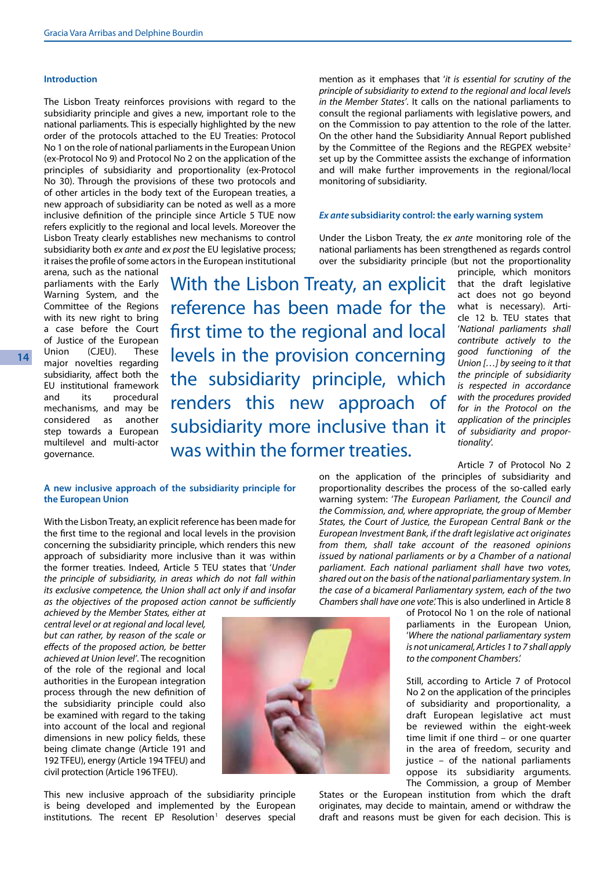#### **Introduction**

The Lisbon Treaty reinforces provisions with regard to the subsidiarity principle and gives a new, important role to the national parliaments. This is especially highlighted by the new order of the protocols attached to the EU Treaties: Protocol No 1 on the role of national parliaments in the European Union (ex-Protocol No 9) and Protocol No 2 on the application of the principles of subsidiarity and proportionality (ex-Protocol No 30). Through the provisions of these two protocols and of other articles in the body text of the European treaties, a new approach of subsidiarity can be noted as well as a more inclusive definition of the principle since Article 5 TUE now refers explicitly to the regional and local levels. Moreover the Lisbon Treaty clearly establishes new mechanisms to control subsidiarity both *ex ante* and *ex post* the EU legislative process; it raises the profile of some actors in the European institutional

arena, such as the national parliaments with the Early Warning System, and the Committee of the Regions with its new right to bring a case before the Court of Justice of the European Union (CJEU). These major novelties regarding subsidiarity, affect both the EU institutional framework and its procedural mechanisms, and may be considered as another step towards a European multilevel and multi-actor governance.

With the Lisbon Treaty, an explicit reference has been made for the first time to the regional and local levels in the provision concerning the subsidiarity principle, which renders this new approach of subsidiarity more inclusive than it was within the former treaties.

# **A new inclusive approach of the subsidiarity principle for the European Union**

With the Lisbon Treaty, an explicit reference has been made for the first time to the regional and local levels in the provision concerning the subsidiarity principle, which renders this new approach of subsidiarity more inclusive than it was within the former treaties. Indeed, Article 5 TEU states that '*Under the principle of subsidiarity, in areas which do not fall within its exclusive competence, the Union shall act only if and insofar as the objectives of the proposed action cannot be sufficiently* 

*achieved by the Member States, either at central level or at regional and local level, but can rather, by reason of the scale or effects of the proposed action, be better achieved at Union level'*. The recognition of the role of the regional and local authorities in the European integration process through the new definition of the subsidiarity principle could also be examined with regard to the taking into account of the local and regional dimensions in new policy fields, these being climate change (Article 191 and 192 TFEU), energy (Article 194 TFEU) and civil protection (Article 196 TFEU).

This new inclusive approach of the subsidiarity principle is being developed and implemented by the European institutions. The recent EP Resolution<sup>1</sup> deserves special



#### *Ex ante* **subsidiarity control: the early warning system**

Under the Lisbon Treaty, the *ex ante* monitoring role of the national parliaments has been strengthened as regards control over the subsidiarity principle (but not the proportionality

> principle, which monitors that the draft legislative act does not go beyond what is necessary). Article 12 b. TEU states that '*National parliaments shall contribute actively to the good functioning of the Union […] by seeing to it that the principle of subsidiarity is respected in accordance with the procedures provided for in the Protocol on the application of the principles of subsidiarity and proportionality*'.

Article 7 of Protocol No 2

on the application of the principles of subsidiarity and proportionality describes the process of the so-called early warning system: '*The European Parliament, the Council and the Commission, and, where appropriate, the group of Member States, the Court of Justice, the European Central Bank or the European Investment Bank, if the draft legislative act originates from them, shall take account of the reasoned opinions issued by national parliaments or by a Chamber of a national parliament. Each national parliament shall have two votes, shared out on the basis of the national parliamentary system. In the case of a bicameral Parliamentary system, each of the two Chambers shall have one vote*.' This is also underlined in Article 8

of Protocol No 1 on the role of national parliaments in the European Union, '*Where the national parliamentary system is not unicameral, Articles 1 to 7 shall apply to the component Chambers*.'

Still, according to Article 7 of Protocol No 2 on the application of the principles of subsidiarity and proportionality, a draft European legislative act must be reviewed within the eight-week time limit if one third – or one quarter in the area of freedom, security and justice – of the national parliaments oppose its subsidiarity arguments. The Commission, a group of Member

States or the European institution from which the draft originates, may decide to maintain, amend or withdraw the draft and reasons must be given for each decision. This is

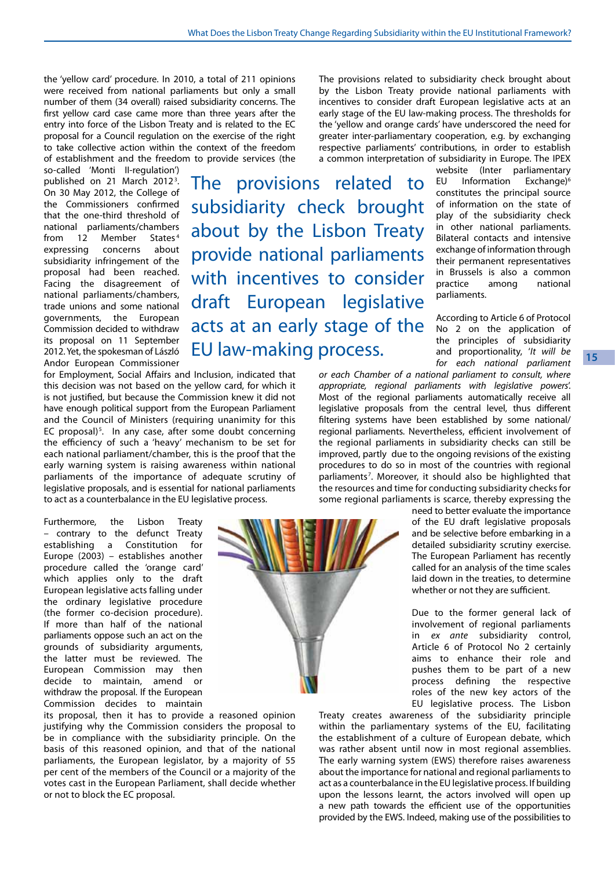the 'yellow card' procedure. In 2010, a total of 211 opinions were received from national parliaments but only a small number of them (34 overall) raised subsidiarity concerns. The first yellow card case came more than three years after the entry into force of the Lisbon Treaty and is related to the EC proposal for a Council regulation on the exercise of the right to take collective action within the context of the freedom of establishment and the freedom to provide services (the

so-called 'Monti II-regulation') published on 21 March 2012<sup>3</sup>. On 30 May 2012, the College of the Commissioners confirmed that the one-third threshold of national parliaments/chambers from 12 Member States<sup>4</sup> expressing concerns about subsidiarity infringement of the proposal had been reached. Facing the disagreement of national parliaments/chambers, trade unions and some national governments, the European Commission decided to withdraw its proposal on 11 September 2012. Yet, the spokesman of László Andor European Commissioner

for Employment, Social Affairs and Inclusion, indicated that this decision was not based on the yellow card, for which it is not justified, but because the Commission knew it did not have enough political support from the European Parliament and the Council of Ministers (requiring unanimity for this EC proposal)<sup>5</sup>. In any case, after some doubt concerning the efficiency of such a 'heavy' mechanism to be set for each national parliament/chamber, this is the proof that the early warning system is raising awareness within national parliaments of the importance of adequate scrutiny of legislative proposals, and is essential for national parliaments to act as a counterbalance in the EU legislative process.

Furthermore, the Lisbon Treaty – contrary to the defunct Treaty establishing a Constitution for Europe (2003) – establishes another procedure called the 'orange card' which applies only to the draft European legislative acts falling under the ordinary legislative procedure (the former co-decision procedure). If more than half of the national parliaments oppose such an act on the grounds of subsidiarity arguments, the latter must be reviewed. The European Commission may then decide to maintain, amend or withdraw the proposal. If the European Commission decides to maintain

its proposal, then it has to provide a reasoned opinion justifying why the Commission considers the proposal to be in compliance with the subsidiarity principle. On the basis of this reasoned opinion, and that of the national parliaments, the European legislator, by a majority of 55 per cent of the members of the Council or a majority of the votes cast in the European Parliament, shall decide whether or not to block the EC proposal.

The provisions related to subsidiarity check brought about by the Lisbon Treaty provide national parliaments with incentives to consider draft European legislative acts at an early stage of the EU law-making process.

greater inter-parliamentary cooperation, e.g. by exchanging respective parliaments' contributions, in order to establish a common interpretation of subsidiarity in Europe. The IPEX website (Inter parliamentary EU Information Exchange)6 constitutes the principal source of information on the state of play of the subsidiarity check

The provisions related to subsidiarity check brought about by the Lisbon Treaty provide national parliaments with incentives to consider draft European legislative acts at an early stage of the EU law-making process. The thresholds for the 'yellow and orange cards' have underscored the need for

> in other national parliaments. Bilateral contacts and intensive exchange of information through their permanent representatives in Brussels is also a common<br>practice among national practice among national parliaments.

> According to Article 6 of Protocol No 2 on the application of the principles of subsidiarity and proportionality, '*It will be for each national parliament*

*or each Chamber of a national parliament to consult, where appropriate, regional parliaments with legislative powers*'. Most of the regional parliaments automatically receive all legislative proposals from the central level, thus different filtering systems have been established by some national/ regional parliaments. Nevertheless, efficient involvement of the regional parliaments in subsidiarity checks can still be improved, partly due to the ongoing revisions of the existing procedures to do so in most of the countries with regional parliaments<sup>7</sup>. Moreover, it should also be highlighted that the resources and time for conducting subsidiarity checks for some regional parliaments is scarce, thereby expressing the

need to better evaluate the importance of the EU draft legislative proposals and be selective before embarking in a detailed subsidiarity scrutiny exercise. The European Parliament has recently called for an analysis of the time scales laid down in the treaties, to determine whether or not they are sufficient.

Due to the former general lack of involvement of regional parliaments in *ex ante* subsidiarity control, Article 6 of Protocol No 2 certainly aims to enhance their role and pushes them to be part of a new process defining the respective roles of the new key actors of the EU legislative process. The Lisbon

Treaty creates awareness of the subsidiarity principle within the parliamentary systems of the EU, facilitating the establishment of a culture of European debate, which was rather absent until now in most regional assemblies. The early warning system (EWS) therefore raises awareness about the importance for national and regional parliaments to act as a counterbalance in the EU legislative process. If building upon the lessons learnt, the actors involved will open up a new path towards the efficient use of the opportunities provided by the EWS. Indeed, making use of the possibilities to

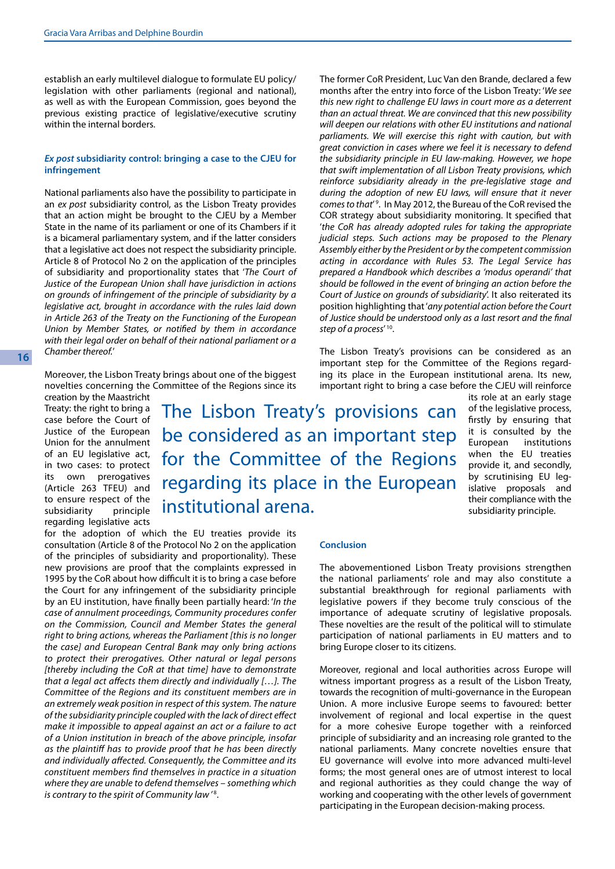establish an early multilevel dialogue to formulate EU policy/ legislation with other parliaments (regional and national), as well as with the European Commission, goes beyond the previous existing practice of legislative/executive scrutiny within the internal borders.

## *Ex post* **subsidiarity control: bringing a case to the CJEU for infringement**

National parliaments also have the possibility to participate in an *ex post* subsidiarity control, as the Lisbon Treaty provides that an action might be brought to the CJEU by a Member State in the name of its parliament or one of its Chambers if it is a bicameral parliamentary system, and if the latter considers that a legislative act does not respect the subsidiarity principle. Article 8 of Protocol No 2 on the application of the principles of subsidiarity and proportionality states that '*The Court of Justice of the European Union shall have jurisdiction in actions on grounds of infringement of the principle of subsidiarity by a legislative act, brought in accordance with the rules laid down in Article 263 of the Treaty on the Functioning of the European Union by Member States, or notified by them in accordance with their legal order on behalf of their national parliament or a Chamber thereof.*'

Moreover, the Lisbon Treaty brings about one of the biggest novelties concerning the Committee of the Regions since its

for the adoption of which the EU treaties provide its consultation (Article 8 of the Protocol No 2 on the application of the principles of subsidiarity and proportionality). These new provisions are proof that the complaints expressed in 1995 by the CoR about how difficult it is to bring a case before the Court for any infringement of the subsidiarity principle by an EU institution, have finally been partially heard: '*In the case of annulment proceedings, Community procedures confer on the Commission, Council and Member States the general right to bring actions, whereas the Parliament [this is no longer the case] and European Central Bank may only bring actions to protect their prerogatives. Other natural or legal persons [thereby including the CoR at that time] have to demonstrate that a legal act affects them directly and individually […]. The Committee of the Regions and its constituent members are in an extremely weak position in respect of this system. The nature of the subsidiarity principle coupled with the lack of direct effect make it impossible to appeal against an act or a failure to act of a Union institution in breach of the above principle, insofar as the plaintiff has to provide proof that he has been directly and individually affected. Consequently, the Committee and its constituent members find themselves in practice in a situation where they are unable to defend themselves – something which* 

is contrary to the spirit of Community law<sup>'8</sup>.

creation by the Maastricht Treaty: the right to bring a case before the Court of Justice of the European Union for the annulment of an EU legislative act, in two cases: to protect its own prerogatives (Article 263 TFEU) and to ensure respect of the<br>subsidiarity principle subsidiarity regarding legislative acts

The Lisbon Treaty's provisions can be considered as an important step for the Committee of the Regions regarding its place in the European institutional arena.

The former CoR President, Luc Van den Brande, declared a few months after the entry into force of the Lisbon Treaty: '*We see this new right to challenge EU laws in court more as a deterrent than an actual threat. We are convinced that this new possibility will deepen our relations with other EU institutions and national parliaments. We will exercise this right with caution, but with great conviction in cases where we feel it is necessary to defend the subsidiarity principle in EU law-making. However, we hope that swift implementation of all Lisbon Treaty provisions, which reinforce subsidiarity already in the pre-legislative stage and during the adoption of new EU laws, will ensure that it never comes to that*' 9 . In May 2012, the Bureau of the CoR revised the COR strategy about subsidiarity monitoring. It specified that '*the CoR has already adopted rules for taking the appropriate judicial steps. Such actions may be proposed to the Plenary Assembly either by the President or by the competent commission acting in accordance with Rules 53. The Legal Service has prepared a Handbook which describes a 'modus operandi' that should be followed in the event of bringing an action before the Court of Justice on grounds of subsidiarity*'. It also reiterated its position highlighting that '*any potential action before the Court of Justice should be understood only as a last resort and the final step of a process*' 10.

The Lisbon Treaty's provisions can be considered as an important step for the Committee of the Regions regarding its place in the European institutional arena. Its new, important right to bring a case before the CJEU will reinforce

its role at an early stage of the legislative process, firstly by ensuring that it is consulted by the European institutions when the EU treaties provide it, and secondly, by scrutinising EU legislative proposals and their compliance with the subsidiarity principle.

## **Conclusion**

The abovementioned Lisbon Treaty provisions strengthen the national parliaments' role and may also constitute a substantial breakthrough for regional parliaments with legislative powers if they become truly conscious of the importance of adequate scrutiny of legislative proposals. These novelties are the result of the political will to stimulate participation of national parliaments in EU matters and to bring Europe closer to its citizens.

Moreover, regional and local authorities across Europe will witness important progress as a result of the Lisbon Treaty, towards the recognition of multi-governance in the European Union. A more inclusive Europe seems to favoured: better involvement of regional and local expertise in the quest for a more cohesive Europe together with a reinforced principle of subsidiarity and an increasing role granted to the national parliaments. Many concrete novelties ensure that EU governance will evolve into more advanced multi-level forms; the most general ones are of utmost interest to local and regional authorities as they could change the way of working and cooperating with the other levels of government participating in the European decision-making process.